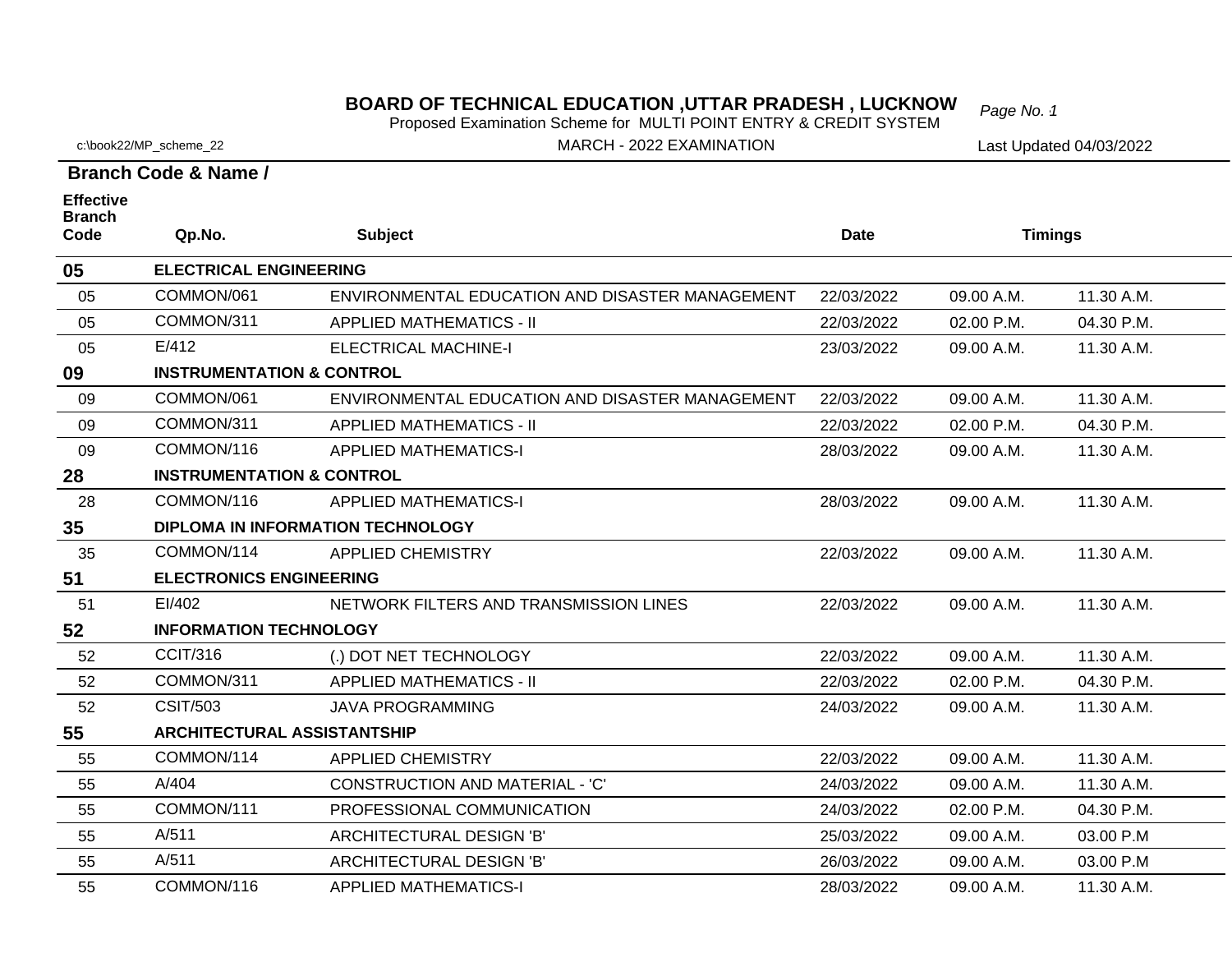**BOARD OF TECHNICAL EDUCATION ,UTTAR PRADESH , LUCKNOW** *Page No. 1* Proposed Examination Scheme for MULTI POINT ENTRY & CREDIT SYSTEM

c:\book22/MP\_scheme\_22

**Effective** 

MARCH - 2022 EXAMINATION

Last Updated 04/03/2022

**Branch Code & Name /**

| <b>Branch</b><br>Code               | Qp.No.                                   | <b>Subject</b>                                  | <b>Date</b> | <b>Timings</b> |            |  |  |  |  |
|-------------------------------------|------------------------------------------|-------------------------------------------------|-------------|----------------|------------|--|--|--|--|
| <b>ELECTRICAL ENGINEERING</b><br>05 |                                          |                                                 |             |                |            |  |  |  |  |
| 05                                  | COMMON/061                               | ENVIRONMENTAL EDUCATION AND DISASTER MANAGEMENT | 22/03/2022  | 09.00 A.M.     | 11.30 A.M. |  |  |  |  |
| 05                                  | COMMON/311                               | <b>APPLIED MATHEMATICS - II</b>                 | 22/03/2022  | 02.00 P.M.     | 04.30 P.M. |  |  |  |  |
| 05                                  | E/412                                    | <b>ELECTRICAL MACHINE-I</b>                     | 23/03/2022  | 09.00 A.M.     | 11.30 A.M. |  |  |  |  |
| 09                                  | <b>INSTRUMENTATION &amp; CONTROL</b>     |                                                 |             |                |            |  |  |  |  |
| 09                                  | COMMON/061                               | ENVIRONMENTAL EDUCATION AND DISASTER MANAGEMENT | 22/03/2022  | 09.00 A.M.     | 11.30 A.M. |  |  |  |  |
| 09                                  | COMMON/311                               | <b>APPLIED MATHEMATICS - II</b>                 | 22/03/2022  | 02.00 P.M.     | 04.30 P.M. |  |  |  |  |
| 09                                  | COMMON/116                               | <b>APPLIED MATHEMATICS-I</b>                    | 28/03/2022  | 09.00 A.M.     | 11.30 A.M. |  |  |  |  |
| 28                                  | <b>INSTRUMENTATION &amp; CONTROL</b>     |                                                 |             |                |            |  |  |  |  |
| 28                                  | COMMON/116                               | <b>APPLIED MATHEMATICS-I</b>                    | 28/03/2022  | 09.00 A.M.     | 11.30 A.M. |  |  |  |  |
| 35                                  | <b>DIPLOMA IN INFORMATION TECHNOLOGY</b> |                                                 |             |                |            |  |  |  |  |
| 35                                  | COMMON/114                               | <b>APPLIED CHEMISTRY</b>                        | 22/03/2022  | 09.00 A.M.     | 11.30 A.M. |  |  |  |  |
| 51                                  | <b>ELECTRONICS ENGINEERING</b>           |                                                 |             |                |            |  |  |  |  |
| 51                                  | EI/402                                   | NETWORK FILTERS AND TRANSMISSION LINES          | 22/03/2022  | 09.00 A.M.     | 11.30 A.M. |  |  |  |  |
| 52                                  | <b>INFORMATION TECHNOLOGY</b>            |                                                 |             |                |            |  |  |  |  |
| 52                                  | <b>CCIT/316</b>                          | (.) DOT NET TECHNOLOGY                          | 22/03/2022  | 09.00 A.M.     | 11.30 A.M. |  |  |  |  |
| 52                                  | COMMON/311                               | <b>APPLIED MATHEMATICS - II</b>                 | 22/03/2022  | 02.00 P.M.     | 04.30 P.M. |  |  |  |  |
| 52                                  | <b>CSIT/503</b>                          | <b>JAVA PROGRAMMING</b>                         | 24/03/2022  | 09.00 A.M.     | 11.30 A.M. |  |  |  |  |
| 55                                  | <b>ARCHITECTURAL ASSISTANTSHIP</b>       |                                                 |             |                |            |  |  |  |  |
| 55                                  | COMMON/114                               | <b>APPLIED CHEMISTRY</b>                        | 22/03/2022  | 09.00 A.M.     | 11.30 A.M. |  |  |  |  |
| 55                                  | A/404                                    | <b>CONSTRUCTION AND MATERIAL - 'C'</b>          | 24/03/2022  | 09.00 A.M.     | 11.30 A.M. |  |  |  |  |
| 55                                  | COMMON/111                               | PROFESSIONAL COMMUNICATION                      | 24/03/2022  | 02.00 P.M.     | 04.30 P.M. |  |  |  |  |
| 55                                  | A/511                                    | ARCHITECTURAL DESIGN 'B'                        | 25/03/2022  | 09.00 A.M.     | 03.00 P.M  |  |  |  |  |
| 55                                  | A/511                                    | ARCHITECTURAL DESIGN 'B'                        | 26/03/2022  | 09.00 A.M.     | 03.00 P.M  |  |  |  |  |
| 55                                  | COMMON/116                               | <b>APPLIED MATHEMATICS-I</b>                    | 28/03/2022  | 09.00 A.M.     | 11.30 A.M. |  |  |  |  |